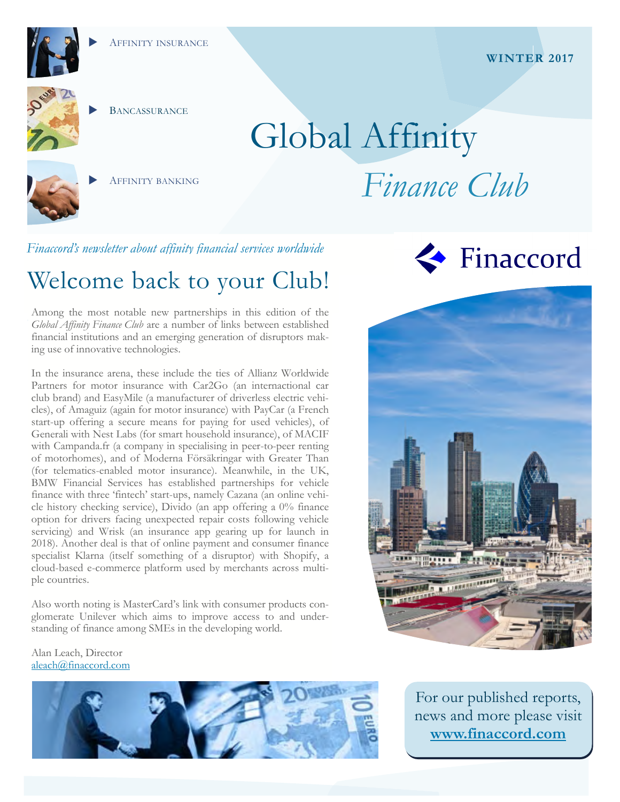

**BANCASSURANCE** 

AFFINITY BANKING

# Global Affinity *Finance Club*

*Finaccord's newsletter about affinity financial services worldwide* 

# Welcome back to your Club!

Among the most notable new partnerships in this edition of the *Global Affinity Finance Club* are a number of links between established financial institutions and an emerging generation of disruptors making use of innovative technologies.

In the insurance arena, these include the ties of Allianz Worldwide Partners for motor insurance with Car2Go (an internactional car club brand) and EasyMile (a manufacturer of driverless electric vehicles), of Amaguiz (again for motor insurance) with PayCar (a French start-up offering a secure means for paying for used vehicles), of Generali with Nest Labs (for smart household insurance), of MACIF with Campanda.fr (a company in specialising in peer-to-peer renting of motorhomes), and of Moderna Försäkringar with Greater Than (for telematics-enabled motor insurance). Meanwhile, in the UK, BMW Financial Services has established partnerships for vehicle finance with three 'fintech' start-ups, namely Cazana (an online vehicle history checking service), Divido (an app offering a 0% finance option for drivers facing unexpected repair costs following vehicle servicing) and Wrisk (an insurance app gearing up for launch in 2018). Another deal is that of online payment and consumer finance specialist Klarna (itself something of a disruptor) with Shopify, a cloud-based e-commerce platform used by merchants across multiple countries.

Also worth noting is MasterCard's link with consumer products conglomerate Unilever which aims to improve access to and understanding of finance among SMEs in the developing world.

# Finaccord



Alan Leach, Director aleach@finaccord.com



For our published reports, news and more please visit **www.finaccord.com**

#### **WINTER 2017**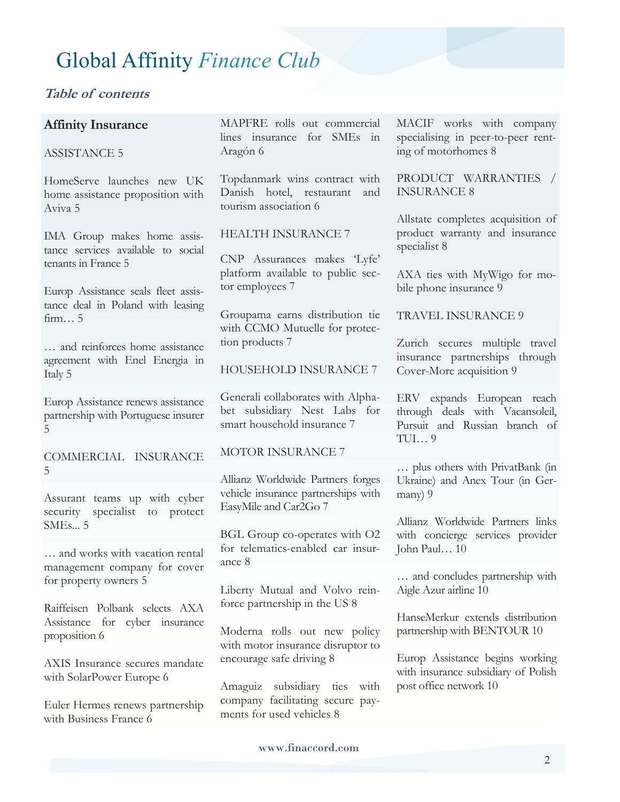#### **Table of contents**

#### **Affinity Insurance**

#### ASSISTANCE 5

HomeServe launches new UK home assistance proposition with Aviva 5

IMA Group makes home assistance services available to social tenants in France 5

Europ Assistance seals fleet assistance deal in Poland with leasing firm… 5

… and reinforces home assistance agreement with Enel Energia in Italy 5

Europ Assistance renews assistance partnership with Portuguese insurer 5

COMMERCIAL INSURANCE 5

Assurant teams up with cyber security specialist to protect  $SMEs.$  5

… and works with vacation rental management company for cover for property owners 5

Raiffeisen Polbank selects AXA Assistance for cyber insurance proposition 6

AXIS Insurance secures mandate with SolarPower Europe 6

Euler Hermes renews partnership with Business France 6

MAPFRE rolls out commercial lines insurance for SMEs in Aragón 6

Topdanmark wins contract with Danish hotel, restaurant and tourism association 6

#### HEALTH INSURANCE 7

CNP Assurances makes 'Lyfe' platform available to public sector employees 7

Groupama earns distribution tie with CCMO Mutuelle for protection products 7

#### HOUSEHOLD INSURANCE 7

Generali collaborates with Alphabet subsidiary Nest Labs for smart household insurance 7

#### MOTOR INSURANCE 7

Allianz Worldwide Partners forges vehicle insurance partnerships with EasyMile and Car2Go 7

BGL Group co-operates with O2 for telematics-enabled car insurance 8

Liberty Mutual and Volvo reinforce partnership in the US 8

Moderna rolls out new policy with motor insurance disruptor to encourage safe driving 8

Amaguiz subsidiary ties with company facilitating secure payments for used vehicles 8

MACIF works with company specialising in peer-to-peer renting of motorhomes 8

PRODUCT WARRANTIES / INSURANCE 8

Allstate completes acquisition of product warranty and insurance specialist 8

AXA ties with MyWigo for mobile phone insurance 9

TRAVEL INSURANCE 9

Zurich secures multiple travel insurance partnerships through Cover-More acquisition 9

ERV expands European reach through deals with Vacansoleil, Pursuit and Russian branch of  $TIII...9$ 

… plus others with PrivatBank (in Ukraine) and Anex Tour (in Germany) 9

Allianz Worldwide Partners links with concierge services provider John Paul… 10

… and concludes partnership with Aigle Azur airline 10

HanseMerkur extends distribution partnership with BENTOUR 10

Europ Assistance begins working with insurance subsidiary of Polish post office network 10

www.finaccord.com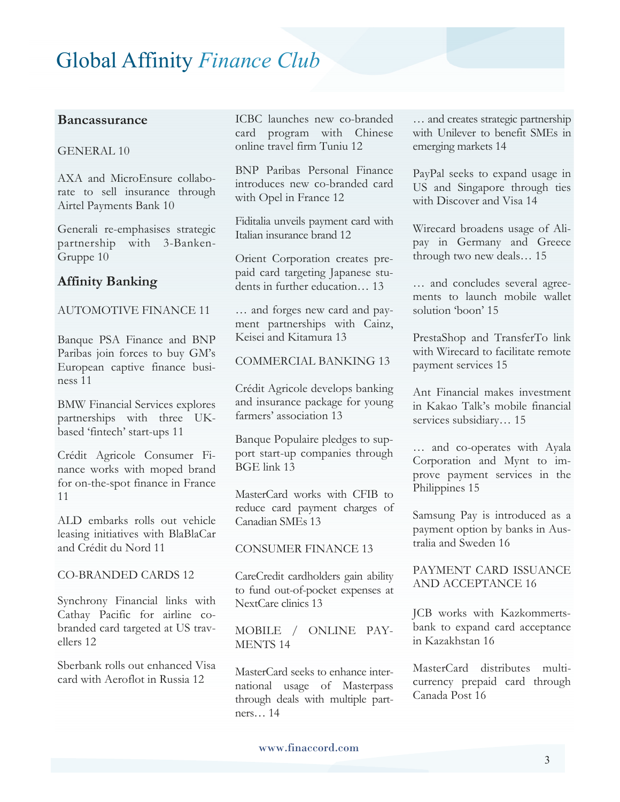#### **Bancassurance**

#### GENERAL 10

AXA and MicroEnsure collaborate to sell insurance through Airtel Payments Bank 10

Generali re-emphasises strategic partnership with 3-Banken-Gruppe 10

#### **Affinity Banking**

#### AUTOMOTIVE FINANCE 11

Banque PSA Finance and BNP Paribas join forces to buy GM's European captive finance business 11

BMW Financial Services explores partnerships with three UKbased 'fintech' start-ups 11

Crédit Agricole Consumer Finance works with moped brand for on-the-spot finance in France 11

ALD embarks rolls out vehicle leasing initiatives with BlaBlaCar and Crédit du Nord 11

#### CO-BRANDED CARDS 12

Synchrony Financial links with Cathay Pacific for airline cobranded card targeted at US travellers 12

Sberbank rolls out enhanced Visa card with Aeroflot in Russia 12

ICBC launches new co-branded card program with Chinese online travel firm Tuniu 12

BNP Paribas Personal Finance introduces new co-branded card with Opel in France 12

Fiditalia unveils payment card with Italian insurance brand 12

Orient Corporation creates prepaid card targeting Japanese students in further education… 13

… and forges new card and payment partnerships with Cainz, Keisei and Kitamura 13

COMMERCIAL BANKING 13

Crédit Agricole develops banking and insurance package for young farmers' association 13

Banque Populaire pledges to support start-up companies through BGE link 13

MasterCard works with CFIB to reduce card payment charges of Canadian SMEs 13

#### CONSUMER FINANCE 13

CareCredit cardholders gain ability to fund out-of-pocket expenses at NextCare clinics 13

MOBILE / ONLINE PAY-MENTS 14

MasterCard seeks to enhance international usage of Masterpass through deals with multiple partners… 14

… and creates strategic partnership with Unilever to benefit SMEs in emerging markets 14

PayPal seeks to expand usage in US and Singapore through ties with Discover and Visa 14

Wirecard broadens usage of Alipay in Germany and Greece through two new deals… 15

… and concludes several agreements to launch mobile wallet solution 'boon' 15

PrestaShop and TransferTo link with Wirecard to facilitate remote payment services 15

Ant Financial makes investment in Kakao Talk's mobile financial services subsidiary… 15

… and co-operates with Ayala Corporation and Mynt to improve payment services in the Philippines 15

Samsung Pay is introduced as a payment option by banks in Australia and Sweden 16

PAYMENT CARD ISSUANCE AND ACCEPTANCE 16

JCB works with Kazkommertsbank to expand card acceptance in Kazakhstan 16

MasterCard distributes multicurrency prepaid card through Canada Post 16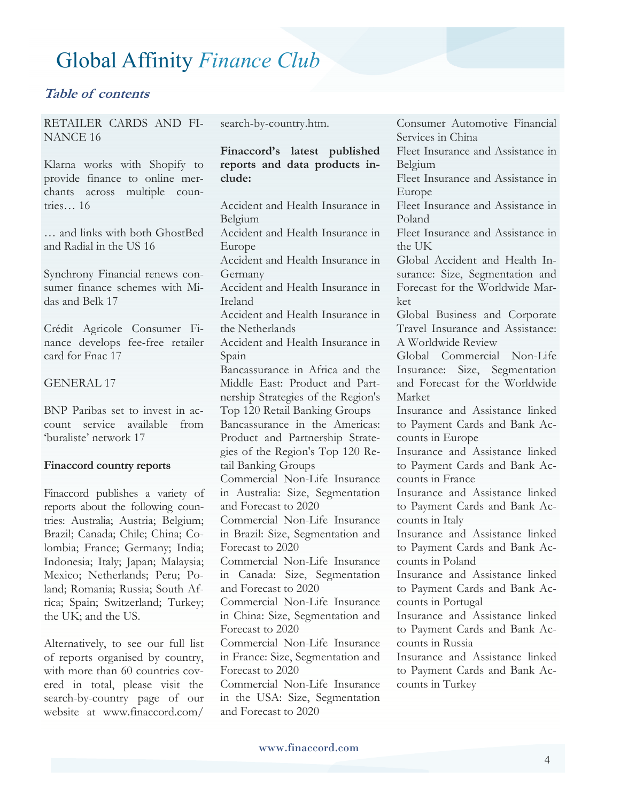#### **Table of contents**

RETAILER CARDS AND FI-NANCE 16

Klarna works with Shopify to provide finance to online merchants across multiple countries… 16

… and links with both GhostBed and Radial in the US 16

Synchrony Financial renews consumer finance schemes with Midas and Belk 17

Crédit Agricole Consumer Finance develops fee-free retailer card for Fnac 17

#### GENERAL 17

BNP Paribas set to invest in account service available from 'buraliste' network 17

#### **Finaccord country reports**

Finaccord publishes a variety of reports about the following countries: Australia; Austria; Belgium; Brazil; Canada; Chile; China; Colombia; France; Germany; India; Indonesia; Italy; Japan; Malaysia; Mexico; Netherlands; Peru; Poland; Romania; Russia; South Africa; Spain; Switzerland; Turkey; the UK; and the US.

Alternatively, to see our full list of reports organised by country, with more than 60 countries covered in total, please visit the search-by-country page of our website at www.finaccord.com/

search-by-country.htm.

#### **Finaccord's latest published reports and data products include:**

Accident and Health Insurance in Belgium Accident and Health Insurance in Europe Accident and Health Insurance in Germany Accident and Health Insurance in Ireland Accident and Health Insurance in the Netherlands Accident and Health Insurance in Spain Bancassurance in Africa and the Middle East: Product and Partnership Strategies of the Region's Top 120 Retail Banking Groups Bancassurance in the Americas: Product and Partnership Strategies of the Region's Top 120 Retail Banking Groups Commercial Non-Life Insurance in Australia: Size, Segmentation and Forecast to 2020 Commercial Non-Life Insurance in Brazil: Size, Segmentation and Forecast to 2020 Commercial Non-Life Insurance in Canada: Size, Segmentation and Forecast to 2020 Commercial Non-Life Insurance in China: Size, Segmentation and Forecast to 2020 Commercial Non-Life Insurance in France: Size, Segmentation and Forecast to 2020 Commercial Non-Life Insurance in the USA: Size, Segmentation and Forecast to 2020

Consumer Automotive Financial Services in China Fleet Insurance and Assistance in Belgium Fleet Insurance and Assistance in Europe Fleet Insurance and Assistance in Poland Fleet Insurance and Assistance in the UK Global Accident and Health Insurance: Size, Segmentation and Forecast for the Worldwide Market Global Business and Corporate Travel Insurance and Assistance: A Worldwide Review Global Commercial Non-Life Insurance: Size, Segmentation and Forecast for the Worldwide Market Insurance and Assistance linked to Payment Cards and Bank Accounts in Europe Insurance and Assistance linked to Payment Cards and Bank Accounts in France Insurance and Assistance linked to Payment Cards and Bank Accounts in Italy Insurance and Assistance linked to Payment Cards and Bank Accounts in Poland Insurance and Assistance linked to Payment Cards and Bank Accounts in Portugal Insurance and Assistance linked to Payment Cards and Bank Accounts in Russia Insurance and Assistance linked to Payment Cards and Bank Accounts in Turkey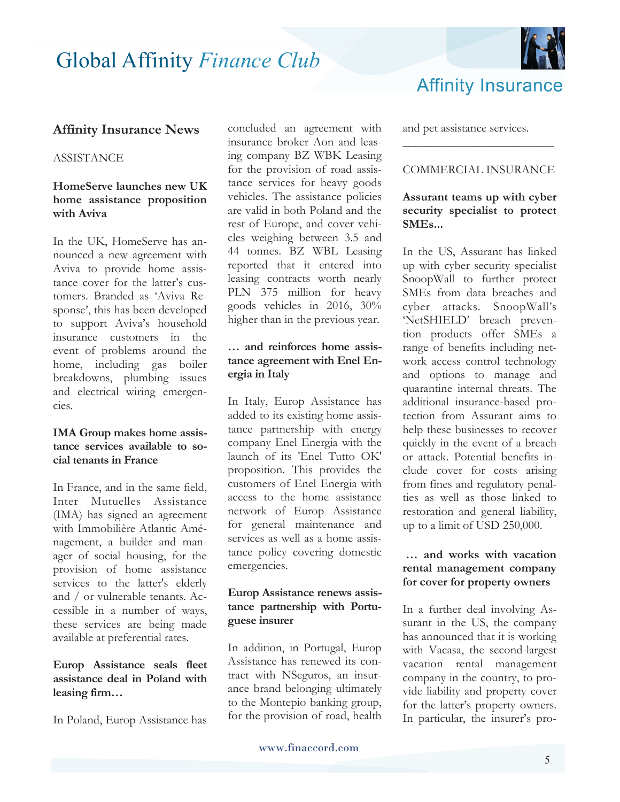

#### **Affinity Insurance News**

#### **ASSISTANCE**

#### **HomeServe launches new UK home assistance proposition with Aviva**

In the UK, HomeServe has announced a new agreement with Aviva to provide home assistance cover for the latter's customers. Branded as 'Aviva Response', this has been developed to support Aviva's household insurance customers in the event of problems around the home, including gas boiler breakdowns, plumbing issues and electrical wiring emergencies.

#### **IMA Group makes home assistance services available to social tenants in France**

In France, and in the same field, Inter Mutuelles Assistance (IMA) has signed an agreement with Immobilière Atlantic Aménagement, a builder and manager of social housing, for the provision of home assistance services to the latter's elderly and / or vulnerable tenants. Accessible in a number of ways, these services are being made available at preferential rates.

#### **Europ Assistance seals fleet assistance deal in Poland with leasing firm…**

In Poland, Europ Assistance has

concluded an agreement with insurance broker Aon and leasing company BZ WBK Leasing for the provision of road assistance services for heavy goods vehicles. The assistance policies are valid in both Poland and the rest of Europe, and cover vehicles weighing between 3.5 and 44 tonnes. BZ WBL Leasing reported that it entered into leasing contracts worth nearly PLN 375 million for heavy goods vehicles in 2016, 30% higher than in the previous year.

#### **… and reinforces home assistance agreement with Enel Energia in Italy**

In Italy, Europ Assistance has added to its existing home assistance partnership with energy company Enel Energia with the launch of its 'Enel Tutto OK' proposition. This provides the customers of Enel Energia with access to the home assistance network of Europ Assistance for general maintenance and services as well as a home assistance policy covering domestic emergencies.

#### **Europ Assistance renews assistance partnership with Portuguese insurer**

In addition, in Portugal, Europ Assistance has renewed its contract with NSeguros, an insurance brand belonging ultimately to the Montepio banking group, for the provision of road, health and pet assistance services.

#### COMMERCIAL INSURANCE

**\_\_\_\_\_\_\_\_\_\_\_\_\_\_\_\_\_\_\_\_\_\_\_\_\_\_**

#### **Assurant teams up with cyber security specialist to protect SMEs...**

In the US, Assurant has linked up with cyber security specialist SnoopWall to further protect SMEs from data breaches and cyber attacks. SnoopWall's 'NetSHIELD' breach prevention products offer SMEs a range of benefits including network access control technology and options to manage and quarantine internal threats. The additional insurance-based protection from Assurant aims to help these businesses to recover quickly in the event of a breach or attack. Potential benefits include cover for costs arising from fines and regulatory penalties as well as those linked to restoration and general liability, up to a limit of USD 250,000.

#### **… and works with vacation rental management company for cover for property owners**

In a further deal involving Assurant in the US, the company has announced that it is working with Vacasa, the second-largest vacation rental management company in the country, to provide liability and property cover for the latter's property owners. In particular, the insurer's pro-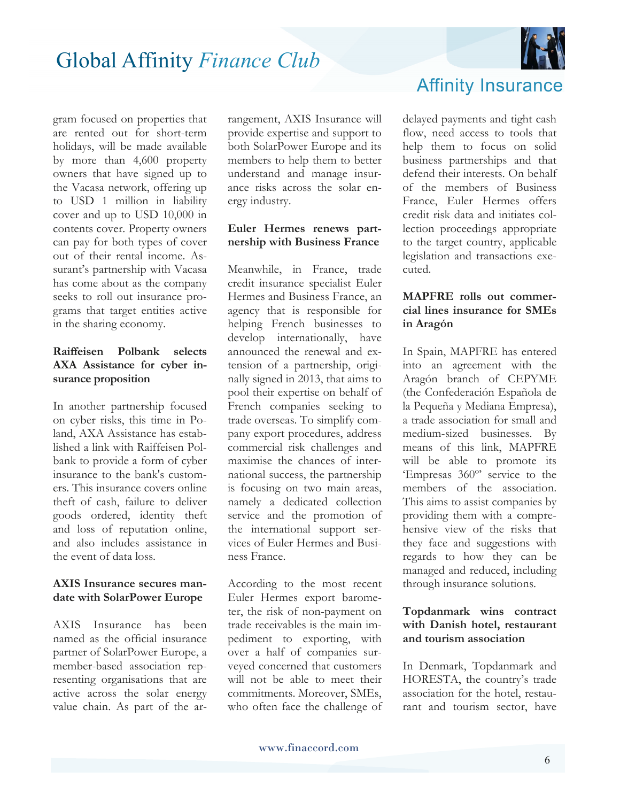

gram focused on properties that are rented out for short-term holidays, will be made available by more than 4,600 property owners that have signed up to the Vacasa network, offering up to USD 1 million in liability cover and up to USD 10,000 in contents cover. Property owners can pay for both types of cover out of their rental income. Assurant's partnership with Vacasa has come about as the company seeks to roll out insurance programs that target entities active in the sharing economy.

#### **Raiffeisen Polbank selects AXA Assistance for cyber insurance proposition**

In another partnership focused on cyber risks, this time in Poland, AXA Assistance has established a link with Raiffeisen Polbank to provide a form of cyber insurance to the bank's customers. This insurance covers online theft of cash, failure to deliver goods ordered, identity theft and loss of reputation online, and also includes assistance in the event of data loss.

#### **AXIS Insurance secures mandate with SolarPower Europe**

AXIS Insurance has been named as the official insurance partner of SolarPower Europe, a member-based association representing organisations that are active across the solar energy value chain. As part of the arrangement, AXIS Insurance will provide expertise and support to both SolarPower Europe and its members to help them to better understand and manage insurance risks across the solar energy industry.

#### **Euler Hermes renews partnership with Business France**

Meanwhile, in France, trade credit insurance specialist Euler Hermes and Business France, an agency that is responsible for helping French businesses to develop internationally, have announced the renewal and extension of a partnership, originally signed in 2013, that aims to pool their expertise on behalf of French companies seeking to trade overseas. To simplify company export procedures, address commercial risk challenges and maximise the chances of international success, the partnership is focusing on two main areas, namely a dedicated collection service and the promotion of the international support services of Euler Hermes and Business France.

According to the most recent Euler Hermes export barometer, the risk of non-payment on trade receivables is the main impediment to exporting, with over a half of companies surveyed concerned that customers will not be able to meet their commitments. Moreover, SMEs, who often face the challenge of



delayed payments and tight cash flow, need access to tools that help them to focus on solid business partnerships and that defend their interests. On behalf of the members of Business France, Euler Hermes offers credit risk data and initiates collection proceedings appropriate to the target country, applicable legislation and transactions executed.

#### **MAPFRE rolls out commercial lines insurance for SMEs in Aragón**

In Spain, MAPFRE has entered into an agreement with the Aragón branch of CEPYME (the Confederación Española de la Pequeña y Mediana Empresa), a trade association for small and medium-sized businesses. By means of this link, MAPFRE will be able to promote its 'Empresas 360º' service to the members of the association. This aims to assist companies by providing them with a comprehensive view of the risks that they face and suggestions with regards to how they can be managed and reduced, including through insurance solutions.

#### **Topdanmark wins contract with Danish hotel, restaurant and tourism association**

In Denmark, Topdanmark and HORESTA, the country's trade association for the hotel, restaurant and tourism sector, have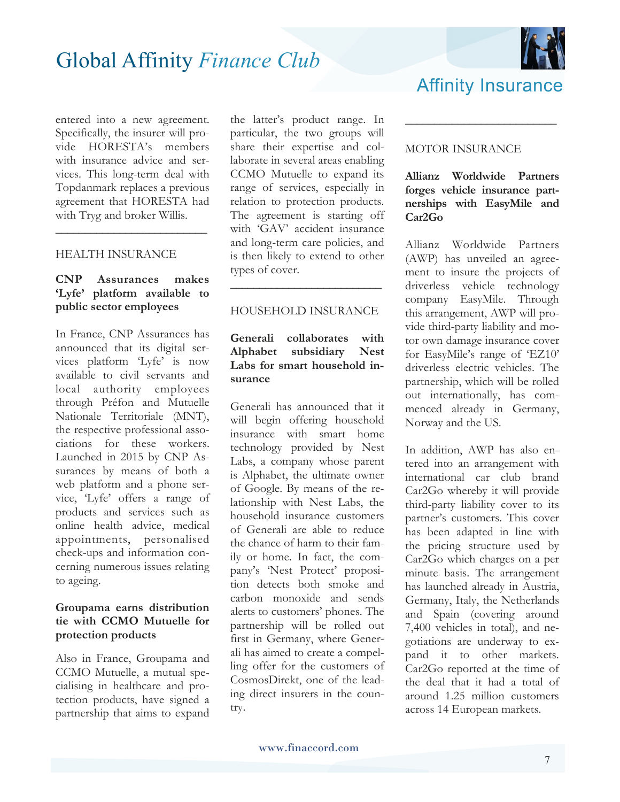

entered into a new agreement. Specifically, the insurer will provide HORESTA's members with insurance advice and services. This long-term deal with Topdanmark replaces a previous agreement that HORESTA had with Tryg and broker Willis.

**\_\_\_\_\_\_\_\_\_\_\_\_\_\_\_\_\_\_\_\_\_\_\_\_\_\_**

#### HEALTH INSURANCE

#### **CNP Assurances makes 'Lyfe' platform available to public sector employees**

In France, CNP Assurances has announced that its digital services platform 'Lyfe' is now available to civil servants and local authority employees through Préfon and Mutuelle Nationale Territoriale (MNT), the respective professional associations for these workers. Launched in 2015 by CNP Assurances by means of both a web platform and a phone service, 'Lyfe' offers a range of products and services such as online health advice, medical appointments, personalised check-ups and information concerning numerous issues relating to ageing.

#### **Groupama earns distribution tie with CCMO Mutuelle for protection products**

Also in France, Groupama and CCMO Mutuelle, a mutual specialising in healthcare and protection products, have signed a partnership that aims to expand

the latter's product range. In particular, the two groups will share their expertise and collaborate in several areas enabling CCMO Mutuelle to expand its range of services, especially in relation to protection products. The agreement is starting off with 'GAV' accident insurance and long-term care policies, and is then likely to extend to other types of cover.

#### HOUSEHOLD INSURANCE

**\_\_\_\_\_\_\_\_\_\_\_\_\_\_\_\_\_\_\_\_\_\_\_\_\_\_**

#### **Generali collaborates with Alphabet subsidiary Nest Labs for smart household insurance**

Generali has announced that it will begin offering household insurance with smart home technology provided by Nest Labs, a company whose parent is Alphabet, the ultimate owner of Google. By means of the relationship with Nest Labs, the household insurance customers of Generali are able to reduce the chance of harm to their family or home. In fact, the company's 'Nest Protect' proposition detects both smoke and carbon monoxide and sends alerts to customers' phones. The partnership will be rolled out first in Germany, where Generali has aimed to create a compelling offer for the customers of CosmosDirekt, one of the leading direct insurers in the country.

#### MOTOR INSURANCE

#### **Allianz Worldwide Partners forges vehicle insurance partnerships with EasyMile and Car2Go**

**\_\_\_\_\_\_\_\_\_\_\_\_\_\_\_\_\_\_\_\_\_\_\_\_\_\_**

Affinity Insurance

Allianz Worldwide Partners (AWP) has unveiled an agreement to insure the projects of driverless vehicle technology company EasyMile. Through this arrangement, AWP will provide third-party liability and motor own damage insurance cover for EasyMile's range of 'EZ10' driverless electric vehicles. The partnership, which will be rolled out internationally, has commenced already in Germany, Norway and the US.

In addition, AWP has also entered into an arrangement with international car club brand Car2Go whereby it will provide third-party liability cover to its partner's customers. This cover has been adapted in line with the pricing structure used by Car2Go which charges on a per minute basis. The arrangement has launched already in Austria, Germany, Italy, the Netherlands and Spain (covering around 7,400 vehicles in total), and negotiations are underway to expand it to other markets. Car2Go reported at the time of the deal that it had a total of around 1.25 million customers across 14 European markets.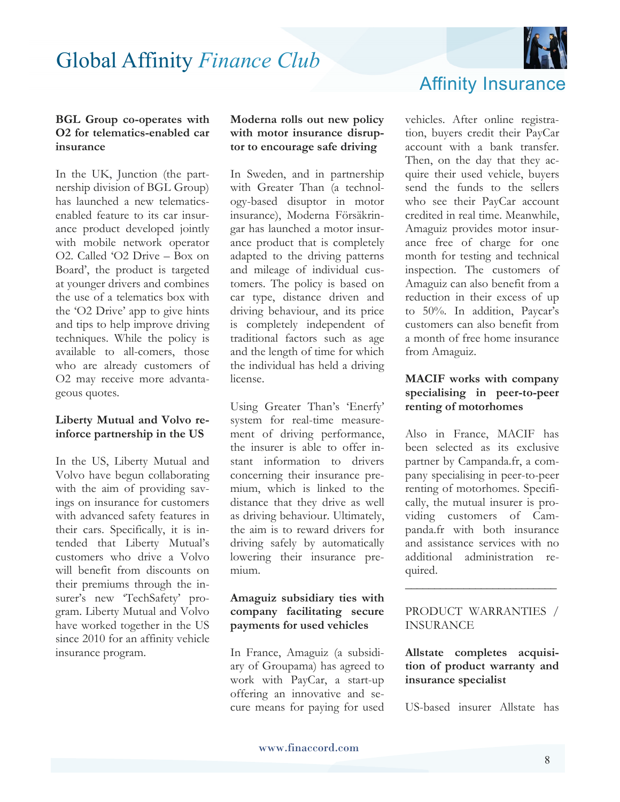

#### **BGL Group co-operates with O2 for telematics-enabled car insurance**

In the UK, Junction (the partnership division of BGL Group) has launched a new telematicsenabled feature to its car insurance product developed jointly with mobile network operator O2. Called 'O2 Drive – Box on Board', the product is targeted at younger drivers and combines the use of a telematics box with the 'O2 Drive' app to give hints and tips to help improve driving techniques. While the policy is available to all-comers, those who are already customers of O2 may receive more advantageous quotes.

#### **Liberty Mutual and Volvo reinforce partnership in the US**

In the US, Liberty Mutual and Volvo have begun collaborating with the aim of providing savings on insurance for customers with advanced safety features in their cars. Specifically, it is intended that Liberty Mutual's customers who drive a Volvo will benefit from discounts on their premiums through the insurer's new 'TechSafety' program. Liberty Mutual and Volvo have worked together in the US since 2010 for an affinity vehicle insurance program.

**Moderna rolls out new policy with motor insurance disruptor to encourage safe driving** 

In Sweden, and in partnership with Greater Than (a technology-based disuptor in motor insurance), Moderna Försäkringar has launched a motor insurance product that is completely adapted to the driving patterns and mileage of individual customers. The policy is based on car type, distance driven and driving behaviour, and its price is completely independent of traditional factors such as age and the length of time for which the individual has held a driving license.

Using Greater Than's 'Enerfy' system for real-time measurement of driving performance, the insurer is able to offer instant information to drivers concerning their insurance premium, which is linked to the distance that they drive as well as driving behaviour. Ultimately, the aim is to reward drivers for driving safely by automatically lowering their insurance premium.

#### **Amaguiz subsidiary ties with company facilitating secure payments for used vehicles**

In France, Amaguiz (a subsidiary of Groupama) has agreed to work with PayCar, a start-up offering an innovative and secure means for paying for used

### Affinity Insurance

vehicles. After online registration, buyers credit their PayCar account with a bank transfer. Then, on the day that they acquire their used vehicle, buyers send the funds to the sellers who see their PayCar account credited in real time. Meanwhile, Amaguiz provides motor insurance free of charge for one month for testing and technical inspection. The customers of Amaguiz can also benefit from a reduction in their excess of up to 50%. In addition, Paycar's customers can also benefit from a month of free home insurance from Amaguiz.

#### **MACIF works with company specialising in peer-to-peer renting of motorhomes**

Also in France, MACIF has been selected as its exclusive partner by Campanda.fr, a company specialising in peer-to-peer renting of motorhomes. Specifically, the mutual insurer is providing customers of Campanda.fr with both insurance and assistance services with no additional administration required.

#### PRODUCT WARRANTIES / INSURANCE

**\_\_\_\_\_\_\_\_\_\_\_\_\_\_\_\_\_\_\_\_\_\_\_\_\_\_**

**Allstate completes acquisition of product warranty and insurance specialist** 

US-based insurer Allstate has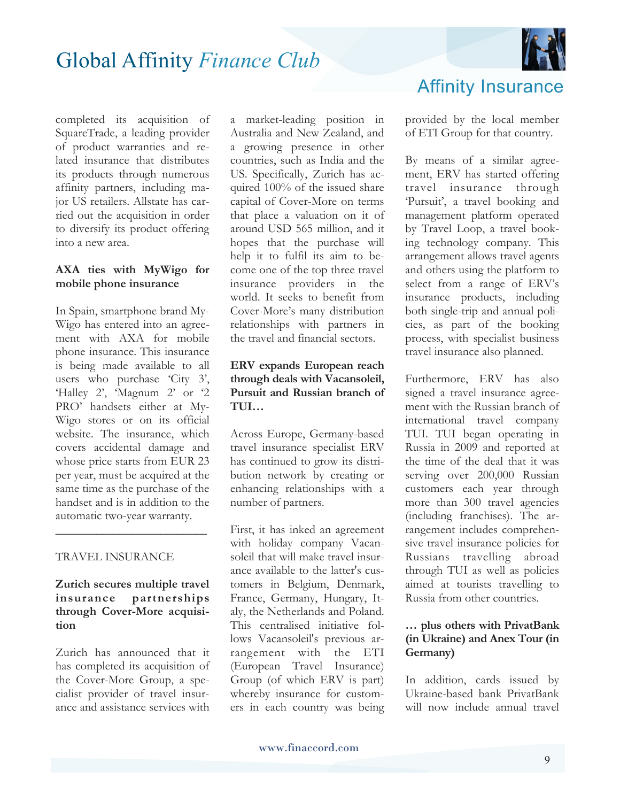

completed its acquisition of SquareTrade, a leading provider of product warranties and related insurance that distributes its products through numerous affinity partners, including major US retailers. Allstate has carried out the acquisition in order to diversify its product offering into a new area.

#### **AXA ties with MyWigo for mobile phone insurance**

In Spain, smartphone brand My-Wigo has entered into an agreement with AXA for mobile phone insurance. This insurance is being made available to all users who purchase 'City 3', 'Halley 2', 'Magnum 2' or '2 PRO' handsets either at My-Wigo stores or on its official website. The insurance, which covers accidental damage and whose price starts from EUR 23 per year, must be acquired at the same time as the purchase of the handset and is in addition to the automatic two-year warranty.

#### TRAVEL INSURANCE

#### **Zurich secures multiple travel insurance partnerships through Cover-More acquisition**

**\_\_\_\_\_\_\_\_\_\_\_\_\_\_\_\_\_\_\_\_\_\_\_\_\_\_**

Zurich has announced that it has completed its acquisition of the Cover-More Group, a specialist provider of travel insurance and assistance services with a market-leading position in Australia and New Zealand, and a growing presence in other countries, such as India and the US. Specifically, Zurich has acquired 100% of the issued share capital of Cover-More on terms that place a valuation on it of around USD 565 million, and it hopes that the purchase will help it to fulfil its aim to become one of the top three travel insurance providers in the world. It seeks to benefit from Cover-More's many distribution relationships with partners in the travel and financial sectors.

#### **ERV expands European reach through deals with Vacansoleil, Pursuit and Russian branch of TUI…**

Across Europe, Germany-based travel insurance specialist ERV has continued to grow its distribution network by creating or enhancing relationships with a number of partners.

First, it has inked an agreement with holiday company Vacansoleil that will make travel insurance available to the latter's customers in Belgium, Denmark, France, Germany, Hungary, Italy, the Netherlands and Poland. This centralised initiative follows Vacansoleil's previous arrangement with the ETI (European Travel Insurance) Group (of which ERV is part) whereby insurance for customers in each country was being

### Affinity Insurance

provided by the local member of ETI Group for that country.

By means of a similar agreement, ERV has started offering travel insurance through 'Pursuit', a travel booking and management platform operated by Travel Loop, a travel booking technology company. This arrangement allows travel agents and others using the platform to select from a range of ERV's insurance products, including both single-trip and annual policies, as part of the booking process, with specialist business travel insurance also planned.

Furthermore, ERV has also signed a travel insurance agreement with the Russian branch of international travel company TUI. TUI began operating in Russia in 2009 and reported at the time of the deal that it was serving over 200,000 Russian customers each year through more than 300 travel agencies (including franchises). The arrangement includes comprehensive travel insurance policies for Russians travelling abroad through TUI as well as policies aimed at tourists travelling to Russia from other countries.

#### **… plus others with PrivatBank (in Ukraine) and Anex Tour (in Germany)**

In addition, cards issued by Ukraine-based bank PrivatBank will now include annual travel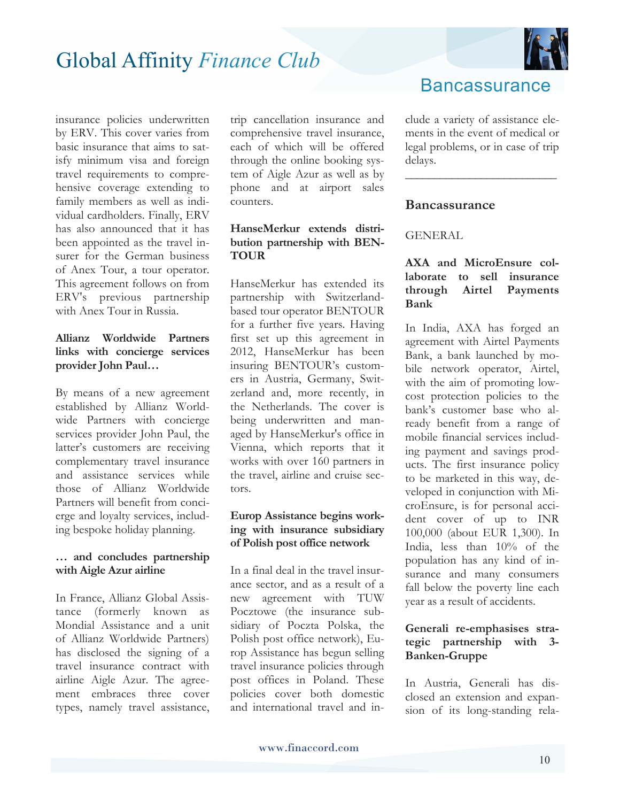

insurance policies underwritten by ERV. This cover varies from basic insurance that aims to satisfy minimum visa and foreign travel requirements to comprehensive coverage extending to family members as well as individual cardholders. Finally, ERV has also announced that it has been appointed as the travel insurer for the German business of Anex Tour, a tour operator. This agreement follows on from ERV's previous partnership with Anex Tour in Russia.

#### **Allianz Worldwide Partners links with concierge services provider John Paul…**

By means of a new agreement established by Allianz Worldwide Partners with concierge services provider John Paul, the latter's customers are receiving complementary travel insurance and assistance services while those of Allianz Worldwide Partners will benefit from concierge and loyalty services, including bespoke holiday planning.

#### **… and concludes partnership with Aigle Azur airline**

In France, Allianz Global Assistance (formerly known as Mondial Assistance and a unit of Allianz Worldwide Partners) has disclosed the signing of a travel insurance contract with airline Aigle Azur. The agreement embraces three cover types, namely travel assistance,

trip cancellation insurance and comprehensive travel insurance, each of which will be offered through the online booking system of Aigle Azur as well as by phone and at airport sales counters.

#### **HanseMerkur extends distribution partnership with BEN-TOUR**

HanseMerkur has extended its partnership with Switzerlandbased tour operator BENTOUR for a further five years. Having first set up this agreement in 2012, HanseMerkur has been insuring BENTOUR's customers in Austria, Germany, Switzerland and, more recently, in the Netherlands. The cover is being underwritten and managed by HanseMerkur's office in Vienna, which reports that it works with over 160 partners in the travel, airline and cruise sectors.

#### **Europ Assistance begins working with insurance subsidiary of Polish post office network**

In a final deal in the travel insurance sector, and as a result of a new agreement with TUW Pocztowe (the insurance subsidiary of Poczta Polska, the Polish post office network), Europ Assistance has begun selling travel insurance policies through post offices in Poland. These policies cover both domestic and international travel and in-

### **Bancassurance**

clude a variety of assistance elements in the event of medical or legal problems, or in case of trip delays.

**\_\_\_\_\_\_\_\_\_\_\_\_\_\_\_\_\_\_\_\_\_\_\_\_\_\_** 

#### **Bancassurance**

#### **GENERAL**

#### **AXA and MicroEnsure collaborate to sell insurance through Airtel Payments Bank**

In India, AXA has forged an agreement with Airtel Payments Bank, a bank launched by mobile network operator, Airtel, with the aim of promoting lowcost protection policies to the bank's customer base who already benefit from a range of mobile financial services including payment and savings products. The first insurance policy to be marketed in this way, developed in conjunction with MicroEnsure, is for personal accident cover of up to INR 100,000 (about EUR 1,300). In India, less than 10% of the population has any kind of insurance and many consumers fall below the poverty line each year as a result of accidents.

#### **Generali re-emphasises strategic partnership with 3- Banken-Gruppe**

In Austria, Generali has disclosed an extension and expansion of its long-standing rela-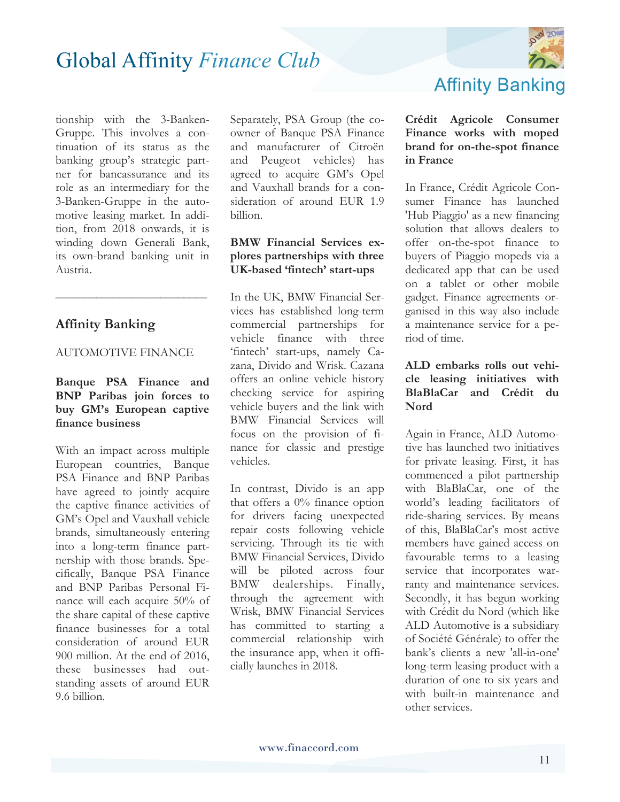

tionship with the 3-Banken-Gruppe. This involves a continuation of its status as the banking group's strategic partner for bancassurance and its role as an intermediary for the 3-Banken-Gruppe in the automotive leasing market. In addition, from 2018 onwards, it is winding down Generali Bank, its own-brand banking unit in Austria.

#### **Affinity Banking**

#### AUTOMOTIVE FINANCE

**\_\_\_\_\_\_\_\_\_\_\_\_\_\_\_\_\_\_\_\_\_\_\_\_\_\_** 

#### **Banque PSA Finance and BNP Paribas join forces to buy GM's European captive finance business**

With an impact across multiple European countries, Banque PSA Finance and BNP Paribas have agreed to jointly acquire the captive finance activities of GM's Opel and Vauxhall vehicle brands, simultaneously entering into a long-term finance partnership with those brands. Specifically, Banque PSA Finance and BNP Paribas Personal Finance will each acquire 50% of the share capital of these captive finance businesses for a total consideration of around EUR 900 million. At the end of 2016, these businesses had outstanding assets of around EUR 9.6 billion.

Separately, PSA Group (the coowner of Banque PSA Finance and manufacturer of Citroën and Peugeot vehicles) has agreed to acquire GM's Opel and Vauxhall brands for a consideration of around EUR 1.9 billion.

#### **BMW Financial Services explores partnerships with three UK-based 'fintech' start-ups**

In the UK, BMW Financial Services has established long-term commercial partnerships for vehicle finance with three 'fintech' start-ups, namely Cazana, Divido and Wrisk. Cazana offers an online vehicle history checking service for aspiring vehicle buyers and the link with BMW Financial Services will focus on the provision of finance for classic and prestige vehicles.

In contrast, Divido is an app that offers a  $0\%$  finance option for drivers facing unexpected repair costs following vehicle servicing. Through its tie with BMW Financial Services, Divido will be piloted across four BMW dealerships. Finally, through the agreement with Wrisk, BMW Financial Services has committed to starting a commercial relationship with the insurance app, when it officially launches in 2018.

### Affinity Banking

#### **Crédit Agricole Consumer Finance works with moped brand for on-the-spot finance in France**

In France, Crédit Agricole Consumer Finance has launched 'Hub Piaggio' as a new financing solution that allows dealers to offer on-the-spot finance to buyers of Piaggio mopeds via a dedicated app that can be used on a tablet or other mobile gadget. Finance agreements organised in this way also include a maintenance service for a period of time.

#### **ALD embarks rolls out vehicle leasing initiatives with BlaBlaCar and Crédit du Nord**

Again in France, ALD Automotive has launched two initiatives for private leasing. First, it has commenced a pilot partnership with BlaBlaCar, one of the world's leading facilitators of ride-sharing services. By means of this, BlaBlaCar's most active members have gained access on favourable terms to a leasing service that incorporates warranty and maintenance services. Secondly, it has begun working with Crédit du Nord (which like ALD Automotive is a subsidiary of Société Générale) to offer the bank's clients a new 'all-in-one' long-term leasing product with a duration of one to six years and with built-in maintenance and other services.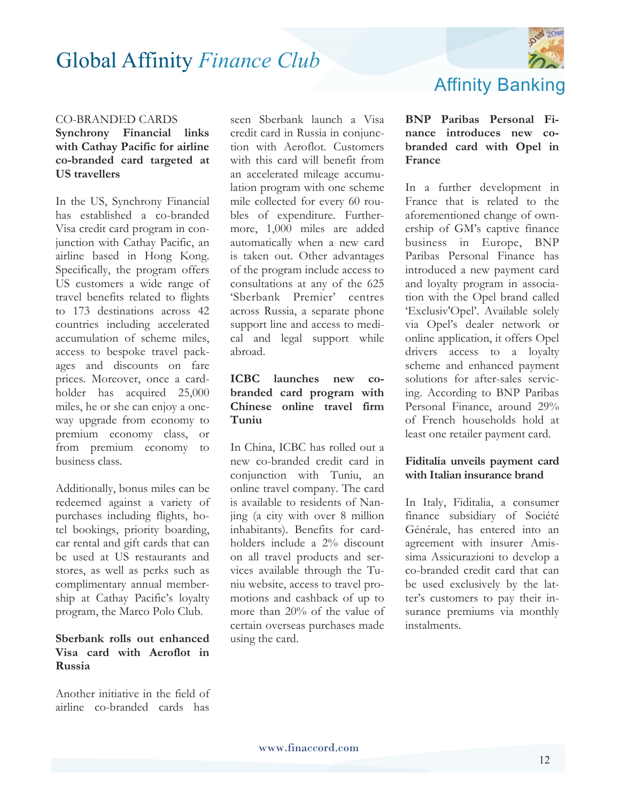

#### CO-BRANDED CARDS

#### **Synchrony Financial links with Cathay Pacific for airline co-branded card targeted at US travellers**

In the US, Synchrony Financial has established a co-branded Visa credit card program in conjunction with Cathay Pacific, an airline based in Hong Kong. Specifically, the program offers US customers a wide range of travel benefits related to flights to 173 destinations across 42 countries including accelerated accumulation of scheme miles, access to bespoke travel packages and discounts on fare prices. Moreover, once a cardholder has acquired 25,000 miles, he or she can enjoy a oneway upgrade from economy to premium economy class, or from premium economy to business class.

Additionally, bonus miles can be redeemed against a variety of purchases including flights, hotel bookings, priority boarding, car rental and gift cards that can be used at US restaurants and stores, as well as perks such as complimentary annual membership at Cathay Pacific's loyalty program, the Marco Polo Club.

#### **Sberbank rolls out enhanced Visa card with Aeroflot in Russia**

Another initiative in the field of airline co-branded cards has

seen Sberbank launch a Visa credit card in Russia in conjunction with Aeroflot. Customers with this card will benefit from an accelerated mileage accumulation program with one scheme mile collected for every 60 roubles of expenditure. Furthermore, 1,000 miles are added automatically when a new card is taken out. Other advantages of the program include access to consultations at any of the 625 'Sberbank Premier' centres across Russia, a separate phone support line and access to medical and legal support while abroad.

#### **ICBC launches new cobranded card program with Chinese online travel firm Tuniu**

In China, ICBC has rolled out a new co-branded credit card in conjunction with Tuniu, an online travel company. The card is available to residents of Nanjing (a city with over 8 million inhabitants). Benefits for cardholders include a 2% discount on all travel products and services available through the Tuniu website, access to travel promotions and cashback of up to more than 20% of the value of certain overseas purchases made using the card.

# Affinity Banking

#### **BNP Paribas Personal Finance introduces new cobranded card with Opel in France**

In a further development in France that is related to the aforementioned change of ownership of GM's captive finance business in Europe, BNP Paribas Personal Finance has introduced a new payment card and loyalty program in association with the Opel brand called 'Exclusiv'Opel'. Available solely via Opel's dealer network or online application, it offers Opel drivers access to a loyalty scheme and enhanced payment solutions for after-sales servicing. According to BNP Paribas Personal Finance, around 29% of French households hold at least one retailer payment card.

#### **Fiditalia unveils payment card with Italian insurance brand**

In Italy, Fiditalia, a consumer finance subsidiary of Société Générale, has entered into an agreement with insurer Amissima Assicurazioni to develop a co-branded credit card that can be used exclusively by the latter's customers to pay their insurance premiums via monthly instalments.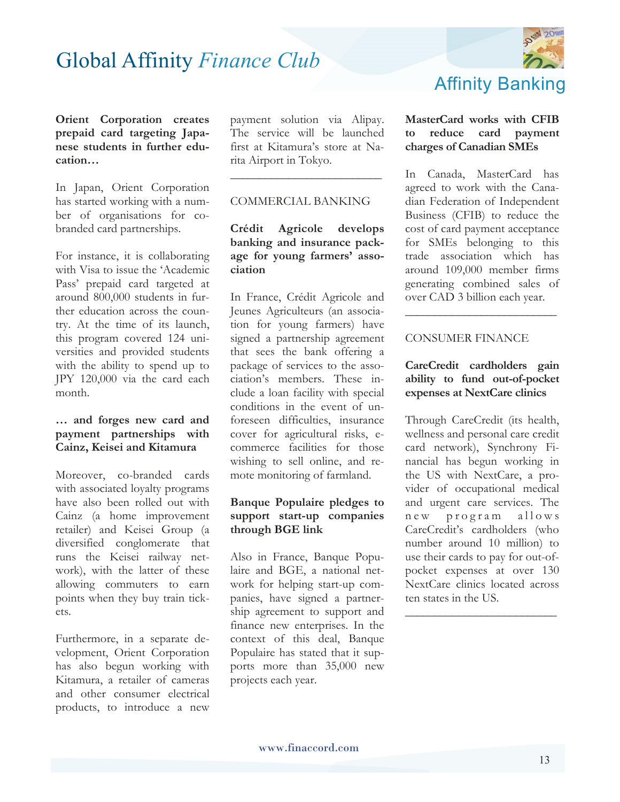

**Orient Corporation creates prepaid card targeting Japanese students in further education…**

In Japan, Orient Corporation has started working with a number of organisations for cobranded card partnerships.

For instance, it is collaborating with Visa to issue the 'Academic Pass' prepaid card targeted at around 800,000 students in further education across the country. At the time of its launch, this program covered 124 universities and provided students with the ability to spend up to JPY 120,000 via the card each month.

#### **… and forges new card and payment partnerships with Cainz, Keisei and Kitamura**

Moreover, co-branded cards with associated loyalty programs have also been rolled out with Cainz (a home improvement retailer) and Keisei Group (a diversified conglomerate that runs the Keisei railway network), with the latter of these allowing commuters to earn points when they buy train tickets.

Furthermore, in a separate development, Orient Corporation has also begun working with Kitamura, a retailer of cameras and other consumer electrical products, to introduce a new

payment solution via Alipay. The service will be launched first at Kitamura's store at Narita Airport in Tokyo.

#### COMMERCIAL BANKING

**\_\_\_\_\_\_\_\_\_\_\_\_\_\_\_\_\_\_\_\_\_\_\_\_\_\_**

**Crédit Agricole develops banking and insurance package for young farmers' association** 

In France, Crédit Agricole and Jeunes Agriculteurs (an association for young farmers) have signed a partnership agreement that sees the bank offering a package of services to the association's members. These include a loan facility with special conditions in the event of unforeseen difficulties, insurance cover for agricultural risks, ecommerce facilities for those wishing to sell online, and remote monitoring of farmland.

#### **Banque Populaire pledges to support start-up companies through BGE link**

Also in France, Banque Populaire and BGE, a national network for helping start-up companies, have signed a partnership agreement to support and finance new enterprises. In the context of this deal, Banque Populaire has stated that it supports more than 35,000 new projects each year.

#### **MasterCard works with CFIB to reduce card payment charges of Canadian SMEs**

In Canada, MasterCard has agreed to work with the Canadian Federation of Independent Business (CFIB) to reduce the cost of card payment acceptance for SMEs belonging to this trade association which has around 109,000 member firms generating combined sales of over CAD 3 billion each year.

#### CONSUMER FINANCE

#### **CareCredit cardholders gain ability to fund out-of-pocket expenses at NextCare clinics**

**\_\_\_\_\_\_\_\_\_\_\_\_\_\_\_\_\_\_\_\_\_\_\_\_\_\_**

Through CareCredit (its health, wellness and personal care credit card network), Synchrony Financial has begun working in the US with NextCare, a provider of occupational medical and urgent care services. The n ew program allows CareCredit's cardholders (who number around 10 million) to use their cards to pay for out-ofpocket expenses at over 130 NextCare clinics located across ten states in the US.

**\_\_\_\_\_\_\_\_\_\_\_\_\_\_\_\_\_\_\_\_\_\_\_\_\_\_**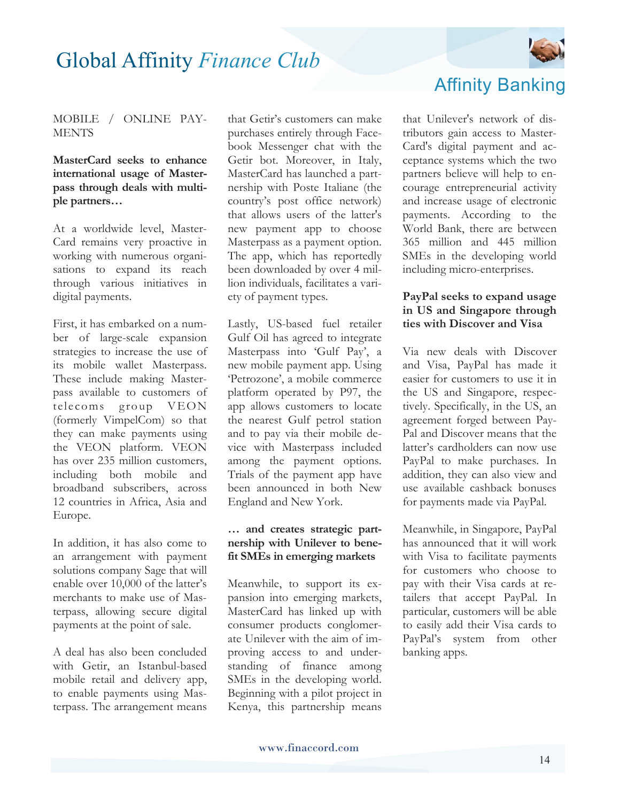

#### MOBILE / ONLINE PAY-**MENTS**

#### **MasterCard seeks to enhance international usage of Masterpass through deals with multiple partners…**

At a worldwide level, Master-Card remains very proactive in working with numerous organisations to expand its reach through various initiatives in digital payments.

First, it has embarked on a number of large-scale expansion strategies to increase the use of its mobile wallet Masterpass. These include making Masterpass available to customers of telecoms group VEON (formerly VimpelCom) so that they can make payments using the VEON platform. VEON has over 235 million customers, including both mobile and broadband subscribers, across 12 countries in Africa, Asia and Europe.

In addition, it has also come to an arrangement with payment solutions company Sage that will enable over 10,000 of the latter's merchants to make use of Masterpass, allowing secure digital payments at the point of sale.

A deal has also been concluded with Getir, an Istanbul-based mobile retail and delivery app, to enable payments using Masterpass. The arrangement means that Getir's customers can make purchases entirely through Facebook Messenger chat with the Getir bot. Moreover, in Italy, MasterCard has launched a partnership with Poste Italiane (the country's post office network) that allows users of the latter's new payment app to choose Masterpass as a payment option. The app, which has reportedly been downloaded by over 4 million individuals, facilitates a variety of payment types.

Lastly, US-based fuel retailer Gulf Oil has agreed to integrate Masterpass into 'Gulf Pay', a new mobile payment app. Using 'Petrozone', a mobile commerce platform operated by P97, the app allows customers to locate the nearest Gulf petrol station and to pay via their mobile device with Masterpass included among the payment options. Trials of the payment app have been announced in both New England and New York.

#### **… and creates strategic partnership with Unilever to benefit SMEs in emerging markets**

Meanwhile, to support its expansion into emerging markets, MasterCard has linked up with consumer products conglomerate Unilever with the aim of improving access to and understanding of finance among SMEs in the developing world. Beginning with a pilot project in Kenya, this partnership means

### Affinity Banking

that Unilever's network of distributors gain access to Master-Card's digital payment and acceptance systems which the two partners believe will help to encourage entrepreneurial activity and increase usage of electronic payments. According to the World Bank, there are between 365 million and 445 million SMEs in the developing world including micro-enterprises.

#### **PayPal seeks to expand usage in US and Singapore through ties with Discover and Visa**

Via new deals with Discover and Visa, PayPal has made it easier for customers to use it in the US and Singapore, respectively. Specifically, in the US, an agreement forged between Pay-Pal and Discover means that the latter's cardholders can now use PayPal to make purchases. In addition, they can also view and use available cashback bonuses for payments made via PayPal.

Meanwhile, in Singapore, PayPal has announced that it will work with Visa to facilitate payments for customers who choose to pay with their Visa cards at retailers that accept PayPal. In particular, customers will be able to easily add their Visa cards to PayPal's system from other banking apps.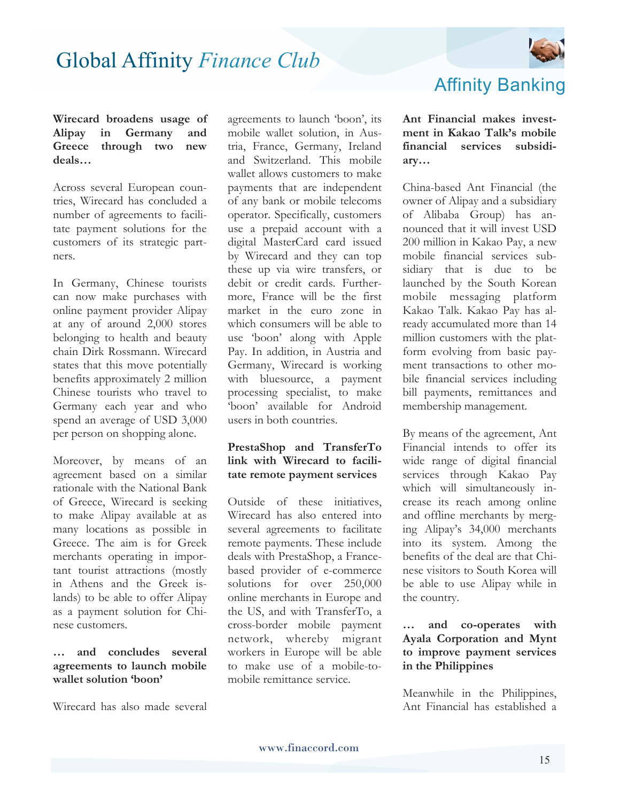

#### **Wirecard broadens usage of Alipay in Germany and Greece through two new deals…**

Across several European countries, Wirecard has concluded a number of agreements to facilitate payment solutions for the customers of its strategic partners.

In Germany, Chinese tourists can now make purchases with online payment provider Alipay at any of around 2,000 stores belonging to health and beauty chain Dirk Rossmann. Wirecard states that this move potentially benefits approximately 2 million Chinese tourists who travel to Germany each year and who spend an average of USD 3,000 per person on shopping alone.

Moreover, by means of an agreement based on a similar rationale with the National Bank of Greece, Wirecard is seeking to make Alipay available at as many locations as possible in Greece. The aim is for Greek merchants operating in important tourist attractions (mostly in Athens and the Greek islands) to be able to offer Alipay as a payment solution for Chinese customers.

#### **… and concludes several agreements to launch mobile wallet solution 'boon'**

Wirecard has also made several

agreements to launch 'boon', its mobile wallet solution, in Austria, France, Germany, Ireland and Switzerland. This mobile wallet allows customers to make payments that are independent of any bank or mobile telecoms operator. Specifically, customers use a prepaid account with a digital MasterCard card issued by Wirecard and they can top these up via wire transfers, or debit or credit cards. Furthermore, France will be the first market in the euro zone in which consumers will be able to use 'boon' along with Apple Pay. In addition, in Austria and Germany, Wirecard is working with bluesource, a payment processing specialist, to make 'boon' available for Android users in both countries.

#### **PrestaShop and TransferTo link with Wirecard to facilitate remote payment services**

Outside of these initiatives, Wirecard has also entered into several agreements to facilitate remote payments. These include deals with PrestaShop, a Francebased provider of e-commerce solutions for over 250,000 online merchants in Europe and the US, and with TransferTo, a cross-border mobile payment network, whereby migrant workers in Europe will be able to make use of a mobile-tomobile remittance service.

### Affinity Banking

**Ant Financial makes investment in Kakao Talk's mobile financial services subsidiary…**

China-based Ant Financial (the owner of Alipay and a subsidiary of Alibaba Group) has announced that it will invest USD 200 million in Kakao Pay, a new mobile financial services subsidiary that is due to be launched by the South Korean mobile messaging platform Kakao Talk. Kakao Pay has already accumulated more than 14 million customers with the platform evolving from basic payment transactions to other mobile financial services including bill payments, remittances and membership management.

By means of the agreement, Ant Financial intends to offer its wide range of digital financial services through Kakao Pay which will simultaneously increase its reach among online and offline merchants by merging Alipay's 34,000 merchants into its system. Among the benefits of the deal are that Chinese visitors to South Korea will be able to use Alipay while in the country.

#### **… and co-operates with Ayala Corporation and Mynt to improve payment services in the Philippines**

Meanwhile in the Philippines, Ant Financial has established a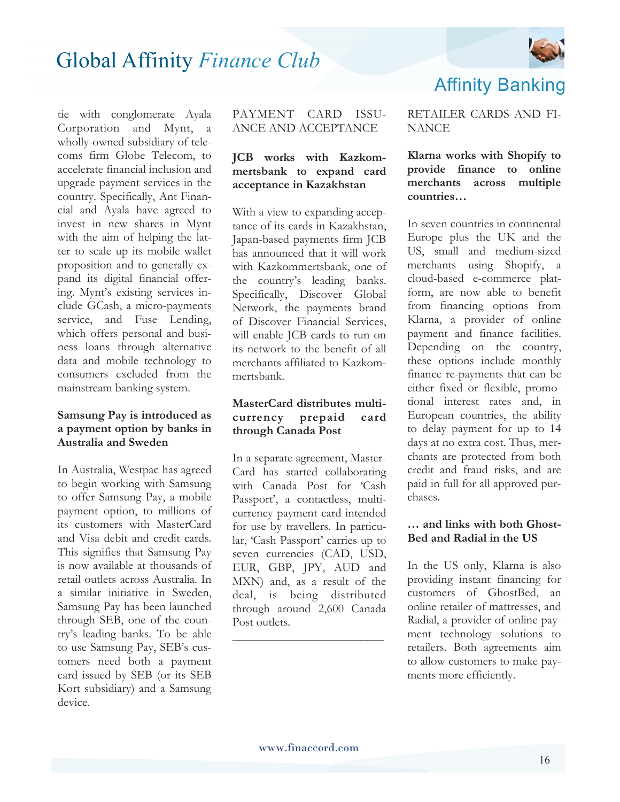

tie with conglomerate Ayala Corporation and Mynt, a wholly-owned subsidiary of telecoms firm Globe Telecom, to accelerate financial inclusion and upgrade payment services in the country. Specifically, Ant Financial and Ayala have agreed to invest in new shares in Mynt with the aim of helping the latter to scale up its mobile wallet proposition and to generally expand its digital financial offering. Mynt's existing services include GCash, a micro-payments service, and Fuse Lending, which offers personal and business loans through alternative data and mobile technology to consumers excluded from the mainstream banking system.

#### **Samsung Pay is introduced as a payment option by banks in Australia and Sweden**

In Australia, Westpac has agreed to begin working with Samsung to offer Samsung Pay, a mobile payment option, to millions of its customers with MasterCard and Visa debit and credit cards. This signifies that Samsung Pay is now available at thousands of retail outlets across Australia. In a similar initiative in Sweden, Samsung Pay has been launched through SEB, one of the country's leading banks. To be able to use Samsung Pay, SEB's customers need both a payment card issued by SEB (or its SEB Kort subsidiary) and a Samsung device.

#### PAYMENT CARD ISSU-ANCE AND ACCEPTANCE

#### **JCB works with Kazkommertsbank to expand card acceptance in Kazakhstan**

With a view to expanding acceptance of its cards in Kazakhstan, Japan-based payments firm JCB has announced that it will work with Kazkommertsbank, one of the country's leading banks. Specifically, Discover Global Network, the payments brand of Discover Financial Services, will enable JCB cards to run on its network to the benefit of all merchants affiliated to Kazkommertsbank.

#### **MasterCard distributes multicurrency prepaid card through Canada Post**

In a separate agreement, Master-Card has started collaborating with Canada Post for 'Cash Passport', a contactless, multicurrency payment card intended for use by travellers. In particular, 'Cash Passport' carries up to seven currencies (CAD, USD, EUR, GBP, JPY, AUD and MXN) and, as a result of the deal, is being distributed through around 2,600 Canada Post outlets.

**\_\_\_\_\_\_\_\_\_\_\_\_\_\_\_\_\_\_\_\_\_\_\_\_\_\_** 

RETAILER CARDS AND FI-**NANCE** 

Affinity Banking

**Klarna works with Shopify to provide finance to online merchants across multiple countries…**

In seven countries in continental Europe plus the UK and the US, small and medium-sized merchants using Shopify, a cloud-based e-commerce platform, are now able to benefit from financing options from Klarna, a provider of online payment and finance facilities. Depending on the country, these options include monthly finance re-payments that can be either fixed or flexible, promotional interest rates and, in European countries, the ability to delay payment for up to 14 days at no extra cost. Thus, merchants are protected from both credit and fraud risks, and are paid in full for all approved purchases.

#### **… and links with both Ghost-Bed and Radial in the US**

In the US only, Klarna is also providing instant financing for customers of GhostBed, an online retailer of mattresses, and Radial, a provider of online payment technology solutions to retailers. Both agreements aim to allow customers to make payments more efficiently.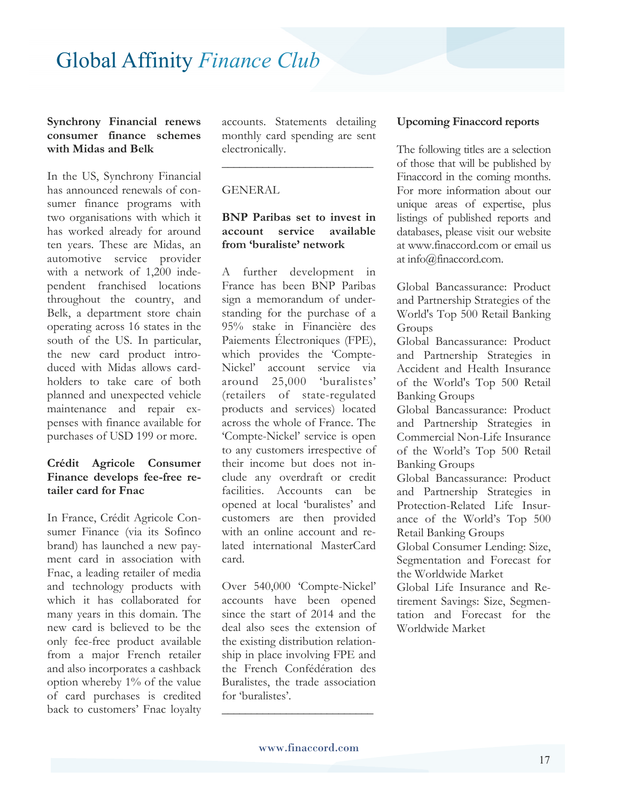#### **Synchrony Financial renews consumer finance schemes with Midas and Belk**

In the US, Synchrony Financial has announced renewals of consumer finance programs with two organisations with which it has worked already for around ten years. These are Midas, an automotive service provider with a network of 1,200 independent franchised locations throughout the country, and Belk, a department store chain operating across 16 states in the south of the US. In particular, the new card product introduced with Midas allows cardholders to take care of both planned and unexpected vehicle maintenance and repair expenses with finance available for purchases of USD 199 or more.

#### **Crédit Agricole Consumer Finance develops fee-free retailer card for Fnac**

In France, Crédit Agricole Consumer Finance (via its Sofinco brand) has launched a new payment card in association with Fnac, a leading retailer of media and technology products with which it has collaborated for many years in this domain. The new card is believed to be the only fee-free product available from a major French retailer and also incorporates a cashback option whereby 1% of the value of card purchases is credited back to customers' Fnac loyalty

accounts. Statements detailing monthly card spending are sent electronically.

**\_\_\_\_\_\_\_\_\_\_\_\_\_\_\_\_\_\_\_\_\_\_\_\_\_\_** 

#### GENERAL

#### **BNP Paribas set to invest in account service available from 'buraliste' network**

A further development in France has been BNP Paribas sign a memorandum of understanding for the purchase of a 95% stake in Financière des Paiements Électroniques (FPE), which provides the 'Compte-Nickel' account service via around 25,000 'buralistes' (retailers of state-regulated products and services) located across the whole of France. The 'Compte-Nickel' service is open to any customers irrespective of their income but does not include any overdraft or credit facilities. Accounts can be opened at local 'buralistes' and customers are then provided with an online account and related international MasterCard card.

Over 540,000 'Compte-Nickel' accounts have been opened since the start of 2014 and the deal also sees the extension of the existing distribution relationship in place involving FPE and the French Confédération des Buralistes, the trade association for 'buralistes'.

**\_\_\_\_\_\_\_\_\_\_\_\_\_\_\_\_\_\_\_\_\_\_\_\_\_\_** 

#### **Upcoming Finaccord reports**

The following titles are a selection of those that will be published by Finaccord in the coming months. For more information about our unique areas of expertise, plus listings of published reports and databases, please visit our website at www.finaccord.com or email us at info@finaccord.com.

Global Bancassurance: Product and Partnership Strategies of the World's Top 500 Retail Banking Groups

Global Bancassurance: Product and Partnership Strategies in Accident and Health Insurance of the World's Top 500 Retail Banking Groups

Global Bancassurance: Product and Partnership Strategies in Commercial Non-Life Insurance of the World's Top 500 Retail Banking Groups

Global Bancassurance: Product and Partnership Strategies in Protection-Related Life Insurance of the World's Top 500 Retail Banking Groups

Global Consumer Lending: Size, Segmentation and Forecast for the Worldwide Market

Global Life Insurance and Retirement Savings: Size, Segmentation and Forecast for the Worldwide Market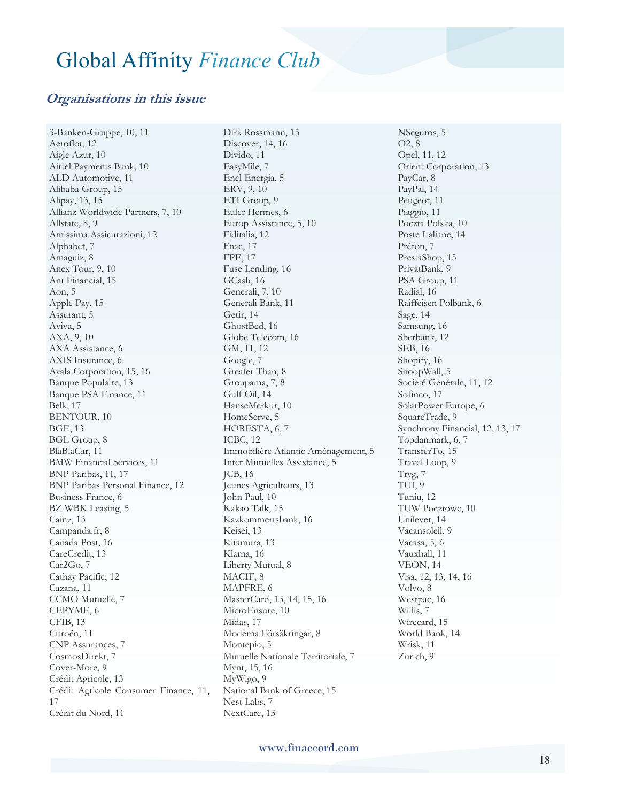#### **Organisations in this issue**

3-Banken-Gruppe, 10, 11 Aeroflot, 12 Aigle Azur, 10 Airtel Payments Bank, 10 ALD Automotive, 11 Alibaba Group, 15 Alipay, 13, 15 Allianz Worldwide Partners, 7, 10 Allstate, 8, 9 Amissima Assicurazioni, 12 Alphabet, 7 Amaguiz, 8 Anex Tour, 9, 10 Ant Financial, 15 Aon, 5 Apple Pay, 15 Assurant, 5 Aviva, 5 AXA, 9, 10 AXA Assistance, 6 AXIS Insurance, 6 Ayala Corporation, 15, 16 Banque Populaire, 13 Banque PSA Finance, 11 Belk, 17 BENTOUR, 10 BGE, 13 BGL Group, 8 BlaBlaCar, 11 BMW Financial Services, 11 BNP Paribas, 11, 17 BNP Paribas Personal Finance, 12 Business France, 6 BZ WBK Leasing, 5 Cainz, 13 Campanda.fr, 8 Canada Post, 16 CareCredit, 13 Car2Go, 7 Cathay Pacific, 12 Cazana, 11 CCMO Mutuelle, 7 CEPYME, 6 CFIB, 13 Citroën, 11 CNP Assurances, 7 CosmosDirekt, 7 Cover-More, 9 Crédit Agricole, 13 Crédit Agricole Consumer Finance, 11, 17 Crédit du Nord, 11

Dirk Rossmann, 15 Discover, 14, 16 Divido, 11 EasyMile, 7 Enel Energia, 5 ERV, 9, 10 ETI Group, 9 Euler Hermes, 6 Europ Assistance, 5, 10 Fiditalia, 12 Fnac, 17 FPE, 17 Fuse Lending, 16 GCash, 16 Generali, 7, 10 Generali Bank, 11 Getir, 14 GhostBed, 16 Globe Telecom, 16 GM, 11, 12 Google, 7 Greater Than, 8 Groupama, 7, 8 Gulf Oil, 14 HanseMerkur, 10 HomeServe, 5 HORESTA, 6, 7 ICBC, 12 Immobilière Atlantic Aménagement, 5 Inter Mutuelles Assistance, 5 JCB, 16 Jeunes Agriculteurs, 13 John Paul, 10 Kakao Talk, 15 Kazkommertsbank, 16 Keisei, 13 Kitamura, 13 Klarna, 16 Liberty Mutual, 8 MACIF, 8 MAPFRE, 6 MasterCard, 13, 14, 15, 16 MicroEnsure, 10 Midas, 17 Moderna Försäkringar, 8 Montepio, 5 Mutuelle Nationale Territoriale, 7 Mynt, 15, 16 MyWigo, 9 National Bank of Greece, 15 Nest Labs, 7 NextCare, 13

NSeguros, 5 O2, 8 Opel, 11, 12 Orient Corporation, 13 PayCar, 8 PayPal, 14 Peugeot, 11 Piaggio, 11 Poczta Polska, 10 Poste Italiane, 14 Préfon, 7 PrestaShop, 15 PrivatBank, 9 PSA Group, 11 Radial, 16 Raiffeisen Polbank, 6 Sage, 14 Samsung, 16 Sberbank, 12 SEB, 16 Shopify, 16 SnoopWall, 5 Société Générale, 11, 12 Sofinco, 17 SolarPower Europe, 6 SquareTrade, 9 Synchrony Financial, 12, 13, 17 Topdanmark, 6, 7 TransferTo, 15 Travel Loop, 9 Tryg, 7 TUI, 9 Tuniu, 12 TUW Pocztowe, 10 Unilever, 14 Vacansoleil, 9 Vacasa, 5, 6 Vauxhall, 11 VEON, 14 Visa, 12, 13, 14, 16 Volvo, 8 Westpac, 16 Willis, 7 Wirecard, 15 World Bank, 14 Wrisk, 11 Zurich, 9